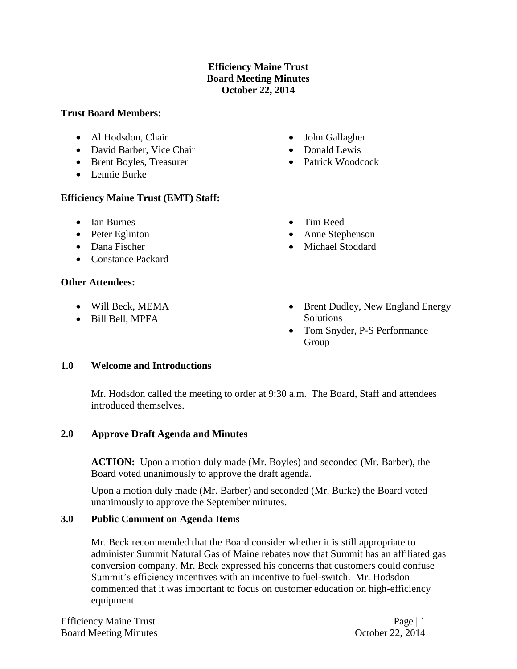# **Efficiency Maine Trust Board Meeting Minutes October 22, 2014**

#### **Trust Board Members:**

- Al Hodsdon, Chair
- David Barber, Vice Chair
- Brent Boyles, Treasurer
- Lennie Burke

# **Efficiency Maine Trust (EMT) Staff:**

- Ian Burnes
- Peter Eglinton
- Dana Fischer
- Constance Packard

# **Other Attendees:**

- Will Beck, MEMA
- Bill Bell, MPFA
- John Gallagher
- Donald Lewis
- Patrick Woodcock
- Tim Reed
- Anne Stephenson
- Michael Stoddard
- Brent Dudley, New England Energy Solutions
- Tom Snyder, P-S Performance Group

# **1.0 Welcome and Introductions**

Mr. Hodsdon called the meeting to order at 9:30 a.m. The Board, Staff and attendees introduced themselves.

# **2.0 Approve Draft Agenda and Minutes**

ACTION: Upon a motion duly made (Mr. Boyles) and seconded (Mr. Barber), the Board voted unanimously to approve the draft agenda.

Upon a motion duly made (Mr. Barber) and seconded (Mr. Burke) the Board voted unanimously to approve the September minutes.

# **3.0 Public Comment on Agenda Items**

Mr. Beck recommended that the Board consider whether it is still appropriate to administer Summit Natural Gas of Maine rebates now that Summit has an affiliated gas conversion company. Mr. Beck expressed his concerns that customers could confuse Summit's efficiency incentives with an incentive to fuel-switch. Mr. Hodsdon commented that it was important to focus on customer education on high-efficiency equipment.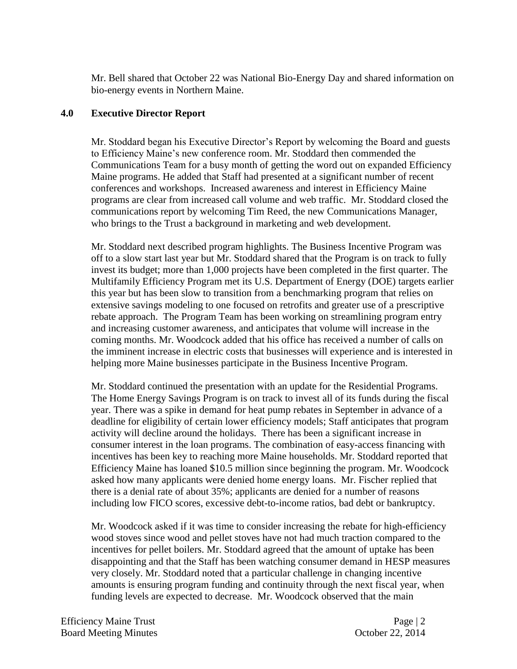Mr. Bell shared that October 22 was National Bio-Energy Day and shared information on bio-energy events in Northern Maine.

### **4.0 Executive Director Report**

Mr. Stoddard began his Executive Director's Report by welcoming the Board and guests to Efficiency Maine's new conference room. Mr. Stoddard then commended the Communications Team for a busy month of getting the word out on expanded Efficiency Maine programs. He added that Staff had presented at a significant number of recent conferences and workshops. Increased awareness and interest in Efficiency Maine programs are clear from increased call volume and web traffic. Mr. Stoddard closed the communications report by welcoming Tim Reed, the new Communications Manager, who brings to the Trust a background in marketing and web development.

Mr. Stoddard next described program highlights. The Business Incentive Program was off to a slow start last year but Mr. Stoddard shared that the Program is on track to fully invest its budget; more than 1,000 projects have been completed in the first quarter. The Multifamily Efficiency Program met its U.S. Department of Energy (DOE) targets earlier this year but has been slow to transition from a benchmarking program that relies on extensive savings modeling to one focused on retrofits and greater use of a prescriptive rebate approach. The Program Team has been working on streamlining program entry and increasing customer awareness, and anticipates that volume will increase in the coming months. Mr. Woodcock added that his office has received a number of calls on the imminent increase in electric costs that businesses will experience and is interested in helping more Maine businesses participate in the Business Incentive Program.

Mr. Stoddard continued the presentation with an update for the Residential Programs. The Home Energy Savings Program is on track to invest all of its funds during the fiscal year. There was a spike in demand for heat pump rebates in September in advance of a deadline for eligibility of certain lower efficiency models; Staff anticipates that program activity will decline around the holidays. There has been a significant increase in consumer interest in the loan programs. The combination of easy-access financing with incentives has been key to reaching more Maine households. Mr. Stoddard reported that Efficiency Maine has loaned \$10.5 million since beginning the program. Mr. Woodcock asked how many applicants were denied home energy loans. Mr. Fischer replied that there is a denial rate of about 35%; applicants are denied for a number of reasons including low FICO scores, excessive debt-to-income ratios, bad debt or bankruptcy.

Mr. Woodcock asked if it was time to consider increasing the rebate for high-efficiency wood stoves since wood and pellet stoves have not had much traction compared to the incentives for pellet boilers. Mr. Stoddard agreed that the amount of uptake has been disappointing and that the Staff has been watching consumer demand in HESP measures very closely. Mr. Stoddard noted that a particular challenge in changing incentive amounts is ensuring program funding and continuity through the next fiscal year, when funding levels are expected to decrease. Mr. Woodcock observed that the main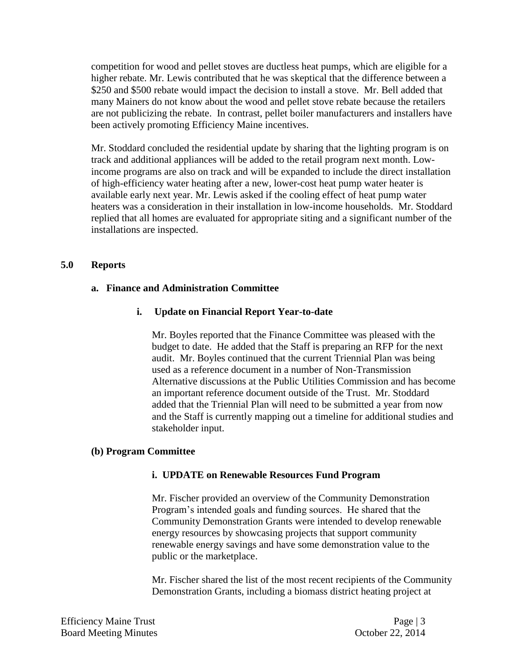competition for wood and pellet stoves are ductless heat pumps, which are eligible for a higher rebate. Mr. Lewis contributed that he was skeptical that the difference between a \$250 and \$500 rebate would impact the decision to install a stove. Mr. Bell added that many Mainers do not know about the wood and pellet stove rebate because the retailers are not publicizing the rebate. In contrast, pellet boiler manufacturers and installers have been actively promoting Efficiency Maine incentives.

Mr. Stoddard concluded the residential update by sharing that the lighting program is on track and additional appliances will be added to the retail program next month. Lowincome programs are also on track and will be expanded to include the direct installation of high-efficiency water heating after a new, lower-cost heat pump water heater is available early next year. Mr. Lewis asked if the cooling effect of heat pump water heaters was a consideration in their installation in low-income households. Mr. Stoddard replied that all homes are evaluated for appropriate siting and a significant number of the installations are inspected.

### **5.0 Reports**

#### **a. Finance and Administration Committee**

#### **i. Update on Financial Report Year-to-date**

Mr. Boyles reported that the Finance Committee was pleased with the budget to date. He added that the Staff is preparing an RFP for the next audit. Mr. Boyles continued that the current Triennial Plan was being used as a reference document in a number of Non-Transmission Alternative discussions at the Public Utilities Commission and has become an important reference document outside of the Trust. Mr. Stoddard added that the Triennial Plan will need to be submitted a year from now and the Staff is currently mapping out a timeline for additional studies and stakeholder input.

#### **(b) Program Committee**

#### **i. UPDATE on Renewable Resources Fund Program**

Mr. Fischer provided an overview of the Community Demonstration Program's intended goals and funding sources. He shared that the Community Demonstration Grants were intended to develop renewable energy resources by showcasing projects that support community renewable energy savings and have some demonstration value to the public or the marketplace.

Mr. Fischer shared the list of the most recent recipients of the Community Demonstration Grants, including a biomass district heating project at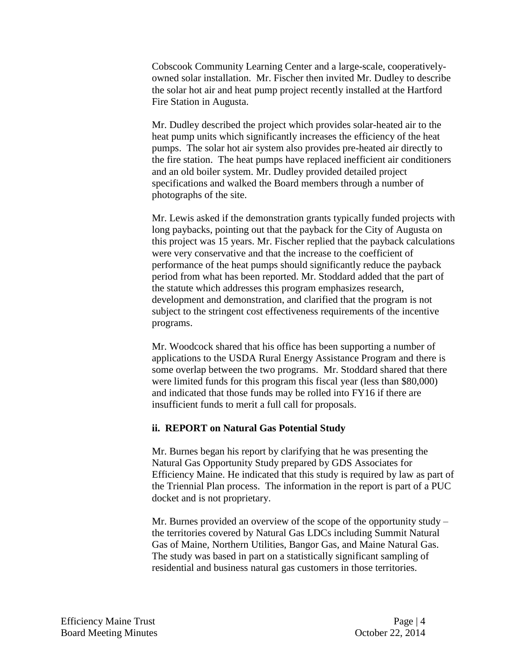Cobscook Community Learning Center and a large-scale, cooperativelyowned solar installation. Mr. Fischer then invited Mr. Dudley to describe the solar hot air and heat pump project recently installed at the Hartford Fire Station in Augusta.

Mr. Dudley described the project which provides solar-heated air to the heat pump units which significantly increases the efficiency of the heat pumps. The solar hot air system also provides pre-heated air directly to the fire station. The heat pumps have replaced inefficient air conditioners and an old boiler system. Mr. Dudley provided detailed project specifications and walked the Board members through a number of photographs of the site.

Mr. Lewis asked if the demonstration grants typically funded projects with long paybacks, pointing out that the payback for the City of Augusta on this project was 15 years. Mr. Fischer replied that the payback calculations were very conservative and that the increase to the coefficient of performance of the heat pumps should significantly reduce the payback period from what has been reported. Mr. Stoddard added that the part of the statute which addresses this program emphasizes research, development and demonstration, and clarified that the program is not subject to the stringent cost effectiveness requirements of the incentive programs.

Mr. Woodcock shared that his office has been supporting a number of applications to the USDA Rural Energy Assistance Program and there is some overlap between the two programs. Mr. Stoddard shared that there were limited funds for this program this fiscal year (less than \$80,000) and indicated that those funds may be rolled into FY16 if there are insufficient funds to merit a full call for proposals.

#### **ii. REPORT on Natural Gas Potential Study**

Mr. Burnes began his report by clarifying that he was presenting the Natural Gas Opportunity Study prepared by GDS Associates for Efficiency Maine. He indicated that this study is required by law as part of the Triennial Plan process. The information in the report is part of a PUC docket and is not proprietary.

Mr. Burnes provided an overview of the scope of the opportunity study – the territories covered by Natural Gas LDCs including Summit Natural Gas of Maine, Northern Utilities, Bangor Gas, and Maine Natural Gas. The study was based in part on a statistically significant sampling of residential and business natural gas customers in those territories.